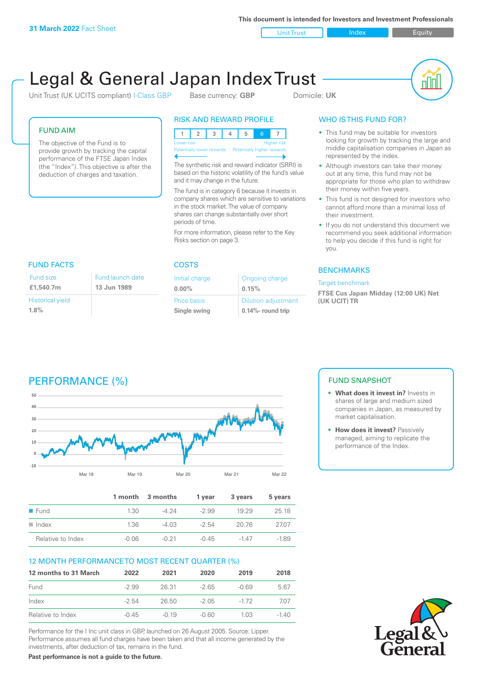**This document is intended for Investors and Investment Professionals**

Unit Trust Index I Equity

# Legal & General Japan Index Trust

Unit Trust (UK UCITS compliant) I-Class GBP Base currency: **GBP** Domicile: UK



#### FUND AIM

The objective of the Fund is to provide growth by tracking the capital performance of the FTSE Japan Index (the "Index"). This objective is after the deduction of charges and taxation.

#### RISK AND REWARD PROFILE

|                           |  |  |  |  | Б,                         |  |                    |
|---------------------------|--|--|--|--|----------------------------|--|--------------------|
| Lower risk                |  |  |  |  |                            |  | <b>Higher risk</b> |
| Potentially lower rewards |  |  |  |  | Potentially higher rewards |  |                    |
|                           |  |  |  |  |                            |  |                    |

The synthetic risk and reward indicator (SRRI) is based on the historic volatility of the fund's value and it may change in the future.

The fund is in category 6 because it invests in company shares which are sensitive to variations in the stock market. The value of company shares can change substantially over short periods of time.

For more information, please refer to the Key Risks section on page 3.

| <b>FUND FACTS</b>                  |                                 |
|------------------------------------|---------------------------------|
| Fund size<br>£1,540.7m             | Fund launch date<br>13 Jun 1989 |
| <b>Historical yield</b><br>$1.8\%$ |                                 |

#### COSTS

| Initial charge | Ongoing charge             |
|----------------|----------------------------|
| $0.00\%$       | 0.15%                      |
| Price basis    | <b>Dilution adjustment</b> |
| Single swing   | 0.14%- round trip          |

### WHO IS THIS FUND FOR?

- This fund may be suitable for investors looking for growth by tracking the large and middle capitalisation companies in Japan as represented by the index.
- Although investors can take their money out at any time, this fund may not be appropriate for those who plan to withdraw their money within five years.
- This fund is not designed for investors who cannot afford more than a minimal loss of their investment.
- If you do not understand this document we recommend you seek additional information to help you decide if this fund is right for you.

#### **BENCHMARKS**

#### Target benchmark

**FTSE Cus Japan Midday (12:00 UK) Net (UK UCIT) TR**

## PERFORMANCE (%)



|                      |         | 1 month 3 months | 1 vear  | 3 years | 5 years |
|----------------------|---------|------------------|---------|---------|---------|
| $\blacksquare$ Fund  | 1.30    | -4 24            | $-2.99$ | 19 29   | 25 18   |
| $\blacksquare$ Index | 1.36    | -4 03            | $-2.54$ | 20.76   | 2707    |
| Relative to Index    | $-0.06$ | $-0.21$          | -0.45   | $-147$  | $-1.89$ |

#### 12 MONTH PERFORMANCE TO MOST RECENT QUARTER (%)

| 12 months to 31 March | 2022    | 2021    | 2020  | 2019   | 2018 |
|-----------------------|---------|---------|-------|--------|------|
| Fund                  | $-2.99$ | 26.31   | -2.65 | -0.69  | 5.67 |
| Index                 | $-2.54$ | 26.50   | -2.05 | $-172$ | 707  |
| Relative to Index     | -0.45   | $-0.19$ | -0.60 | 1 0.3  | -140 |

Performance for the I Inc unit class in GBP, launched on 26 August 2005. Source: Lipper. Performance assumes all fund charges have been taken and that all income generated by the investments, after deduction of tax, remains in the fund.

**Past performance is not a guide to the future.**

#### FUND SNAPSHOT

- **• What does it invest in?** Invests in shares of large and medium sized companies in Japan, as measured by market capitalisation.
- **• How does it invest?** Passively managed, aiming to replicate the performance of the Index.

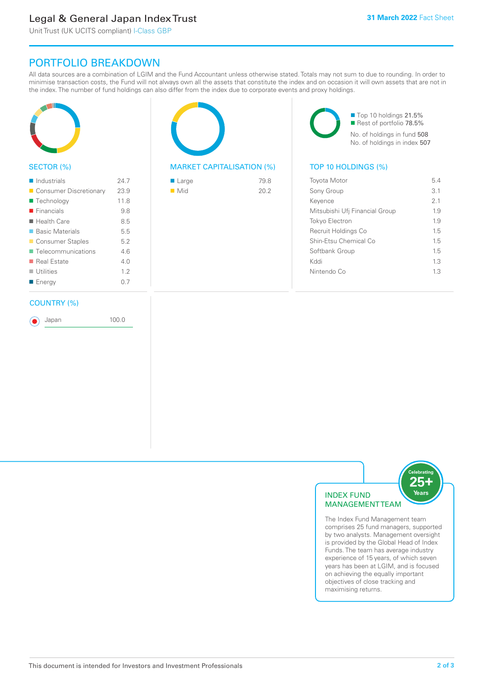### Legal & General Japan Index Trust

Unit Trust (UK UCITS compliant) I-Class GBP

### PORTFOLIO BREAKDOWN

All data sources are a combination of LGIM and the Fund Accountant unless otherwise stated. Totals may not sum to due to rounding. In order to minimise transaction costs, the Fund will not always own all the assets that constitute the index and on occasion it will own assets that are not in the index. The number of fund holdings can also differ from the index due to corporate events and proxy holdings.



#### SECTOR (%)

| $\blacksquare$ Industrials | 24.7 |
|----------------------------|------|
| ■ Consumer Discretionary   | 23.9 |
| ■ Technology               | 11.8 |
| $\blacksquare$ Financials  | 9.8  |
| $\blacksquare$ Health Care | 8.5  |
| ■ Basic Materials          | 5.5  |
| ■ Consumer Staples         | 5.2  |
| ■ Telecommunications       | 46   |
| ■ Real Estate              | 4 N  |
| $\blacksquare$ Utilities   | 12   |
| ■ Energy                   | 0.7  |
|                            |      |

#### COUNTRY (%)

Japan 100.0



#### MARKET CAPITALISATION (%) TOP 10 HOLDINGS (%)

| $\blacksquare$ Large | 79.8 |
|----------------------|------|
| $\blacksquare$ Mid   | 20.2 |
|                      |      |

■ Top 10 holdings 21.5% Rest of portfolio 78.5% No. of holdings in fund 508 No. of holdings in index 507

| <b>Toyota Motor</b>            | 54  |
|--------------------------------|-----|
| Sony Group                     | 3.1 |
| Kevence                        | 21  |
| Mitsubishi Ufj Financial Group | 1.9 |
| <b>Tokyo Electron</b>          | 1.9 |
| Recruit Holdings Co            | 15  |
| Shin-Etsu Chemical Co          | 15  |
| Softbank Group                 | 15  |
| Kyql                           | 13  |
| Nintendo Co                    | 13  |
|                                |     |



The Index Fund Management team comprises 25 fund managers, supported by two analysts. Management oversight is provided by the Global Head of Index Funds. The team has average industry experience of 15 years, of which seven years has been at LGIM, and is focused on achieving the equally important objectives of close tracking and maximising returns.